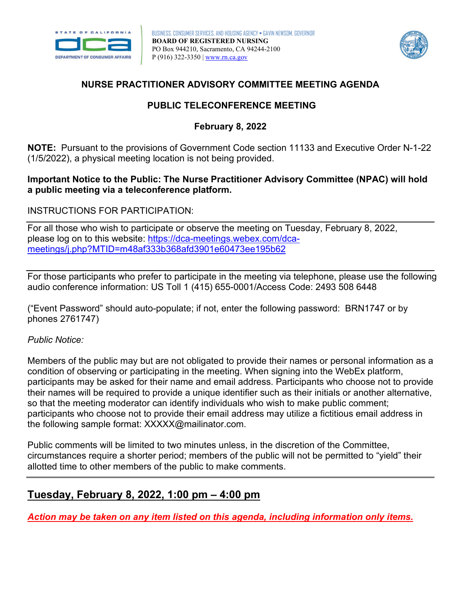



#### **NURSE PRACTITIONER ADVISORY COMMITTEE MEETING AGENDA**

## **PUBLIC TELECONFERENCE MEETING**

### **February 8, 2022**

 (1/5/2022), a physical meeting location is not being provided. **NOTE:** Pursuant to the provisions of Government Code section 11133 and Executive Order N-1-22

#### **Important Notice to the Public: The Nurse Practitioner Advisory Committee (NPAC) will hold a public meeting via a teleconference platform.**

#### INSTRUCTIONS FOR PARTICIPATION:

For all those who wish to participate or observe the meeting on Tuesday, February 8, 2022, please log on to this website: [https://dca-meetings.webex.com/dca](https://dca-meetings.webex.com/dca-meetings/j.php?MTID=m48af333b368afd3901e60473ee195b62)[meetings/j.php?MTID=m48af333b368afd3901e60473ee195b62](https://dca-meetings.webex.com/dca-meetings/j.php?MTID=m48af333b368afd3901e60473ee195b62) 

For those participants who prefer to participate in the meeting via telephone, please use the following audio conference information: US Toll 1 (415) 655-0001/Access Code: 2493 508 6448

 ("Event Password" should auto-populate; if not, enter the following password: BRN1747 or by phones 2761747)

#### *Public Notice:*

 Members of the public may but are not obligated to provide their names or personal information as a condition of observing or participating in the meeting. When signing into the WebEx platform, participants may be asked for their name and email address. Participants who choose not to provide their names will be required to provide a unique identifier such as their initials or another alternative, so that the meeting moderator can identify individuals who wish to make public comment; participants who choose not to provide their email address may utilize a fictitious email address in the following sample format: [XXXXX@mailinator.com.](mailto:XXXXX@mailinator.com)

Public comments will be limited to two minutes unless, in the discretion of the Committee, circumstances require a shorter period; members of the public will not be permitted to "yield" their allotted time to other members of the public to make comments.

# **Tuesday, February 8, 2022, 1:00 pm – 4:00 pm**

*Action may be taken on any item listed on this agenda, including information only items.*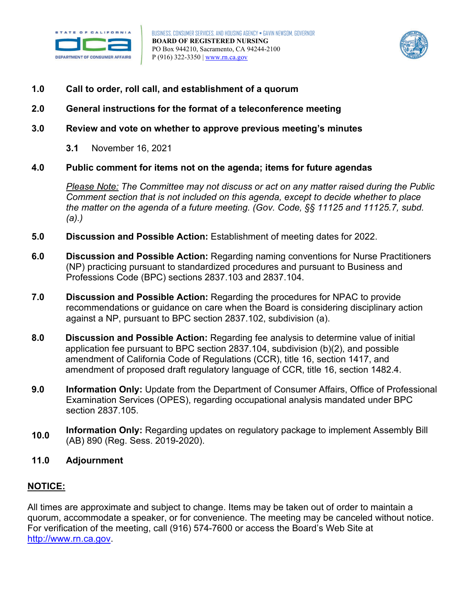



- Call to order, roll call, and establishment of a quorum
- 1.0 Call to order, roll call, and establishment of a quorum<br>2.0 General instructions for the format of a teleconference meeting
- **3.0 Review and vote on whether to approve previous meeting's minutes** 
	- **3.1** November 16, 2021

#### **4.0 Public comment for items not on the agenda; items for future agendas**

 *Please Note: The Committee may not discuss or act on any matter raised during the Public Comment section that is not included on this agenda, except to decide whether to place the matter on the agenda of a future meeting. (Gov. Code, §§ 11125 and 11125.7, subd. (a).)* 

- **5.0 Discussion and Possible Action:** Establishment of meeting dates for 2022.
- **6.0 Discussion and Possible Action:** Regarding naming conventions for Nurse Practitioners (NP) practicing pursuant to standardized procedures and pursuant to Business and Professions Code (BPC) sections 2837.103 and 2837.104.
- **7.0 Discussion and Possible Action:** Regarding the procedures for NPAC to provide recommendations or guidance on care when the Board is considering disciplinary action against a NP, pursuant to BPC section 2837.102, subdivision (a).
- **8.0 Discussion and Possible Action:** Regarding fee analysis to determine value of initial application fee pursuant to BPC section 2837.104, subdivision (b)(2), and possible amendment of California Code of Regulations (CCR), title 16, section 1417, and amendment of proposed draft regulatory language of CCR, title 16, section 1482.4.
- Examination Services (OPES), regarding occupational analysis mandated under BPC **9.0 Information Only:** Update from the Department of Consumer Affairs, Office of Professional section 2837.105.
- (AB) 890 (Reg. Sess. 2019-2020). **Information Only: Regarding updates on regulatory package to implement Assembly Bill <b>10.0** (AB) 890 (Reg. Sess. 2019-2020).
- **11.0 Adjournment**

#### **NOTICE:**

 [http://www.rn.ca.gov.](http://www.rn.ca.gov/) All times are approximate and subject to change. Items may be taken out of order to maintain a quorum, accommodate a speaker, or for convenience. The meeting may be canceled without notice. For verification of the meeting, call (916) 574-7600 or access the Board's Web Site at